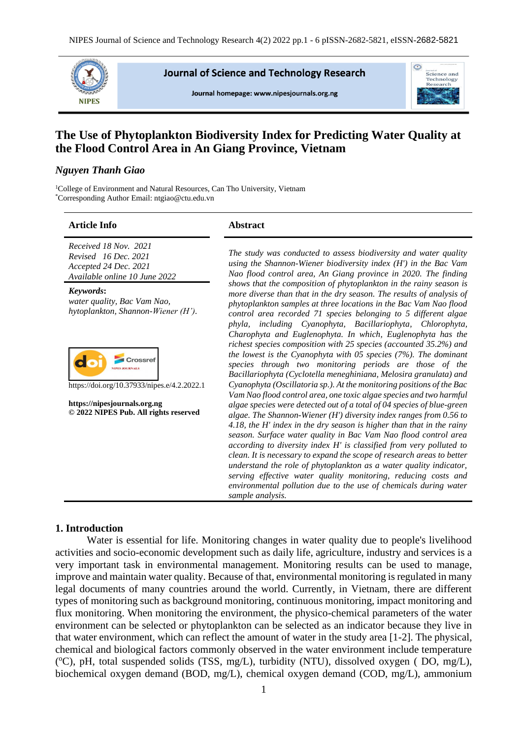

**Journal of Science and Technology Research** 

Journal homepage: www.nipesjournals.org.ng



# **The Use of Phytoplankton Biodiversity Index for Predicting Water Quality at the Flood Control Area in An Giang Province, Vietnam**

# *Nguyen Thanh Giao*

<sup>1</sup>College of Environment and Natural Resources, Can Tho University, Vietnam \*Corresponding Author Email: ntgiao@ctu.edu.vn

#### **Article Info Abstract**

*Received 18 Nov. 2021 Revised 16 Dec. 2021 Accepted 24 Dec. 2021 Available online 10 June 2022*

*Keywords***:** *water quality, Bac Vam Nao, hytoplankton, Shannon-Wiener (H').*



https://doi.org/10.37933/nipes.e/4.2.2022.1

**https://nipesjournals.org.ng © 2022 NIPES Pub. All rights reserved** *The study was conducted to assess biodiversity and water quality using the Shannon-Wiener biodiversity index (H') in the Bac Vam Nao flood control area, An Giang province in 2020. The finding shows that the composition of phytoplankton in the rainy season is more diverse than that in the dry season. The results of analysis of phytoplankton samples at three locations in the Bac Vam Nao flood control area recorded 71 species belonging to 5 different algae phyla, including Cyanophyta, Bacillariophyta, Chlorophyta, Charophyta and Euglenophyta. In which, Euglenophyta has the richest species composition with 25 species (accounted 35.2%) and the lowest is the Cyanophyta with 05 species (7%). The dominant species through two monitoring periods are those of the Bacillariophyta (Cyclotella meneghiniana, Melosira granulata) and Cyanophyta (Oscillatoria sp.). At the monitoring positions of the Bac Vam Nao flood control area, one toxic algae species and two harmful algae species were detected out of a total of 04 species of blue-green algae. The Shannon-Wiener (H') diversity index ranges from 0.56 to 4.18, the H' index in the dry season is higher than that in the rainy season. Surface water quality in Bac Vam Nao flood control area according to diversity index H' is classified from very polluted to clean. It is necessary to expand the scope of research areas to better understand the role of phytoplankton as a water quality indicator, serving effective water quality monitoring, reducing costs and environmental pollution due to the use of chemicals during water sample analysis.*

# **1. Introduction**

Water is essential for life. Monitoring changes in water quality due to people's livelihood activities and socio-economic development such as daily life, agriculture, industry and services is a very important task in environmental management. Monitoring results can be used to manage, improve and maintain water quality. Because of that, environmental monitoring is regulated in many legal documents of many countries around the world. Currently, in Vietnam, there are different types of monitoring such as background monitoring, continuous monitoring, impact monitoring and flux monitoring. When monitoring the environment, the physico-chemical parameters of the water environment can be selected or phytoplankton can be selected as an indicator because they live in that water environment, which can reflect the amount of water in the study area [1-2]. The physical, chemical and biological factors commonly observed in the water environment include temperature (°C), pH, total suspended solids (TSS, mg/L), turbidity (NTU), dissolved oxygen (DO, mg/L), biochemical oxygen demand (BOD, mg/L), chemical oxygen demand (COD, mg/L), ammonium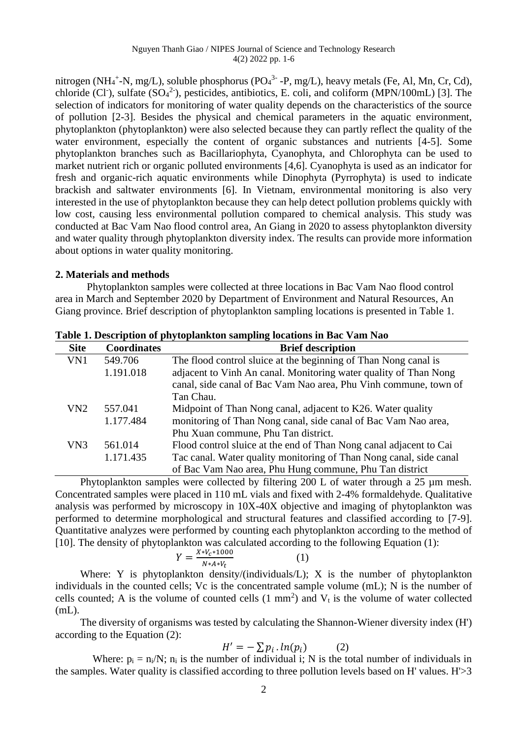nitrogen (NH<sub>4</sub><sup>+</sup>-N, mg/L), soluble phosphorus (PO<sub>4</sub><sup>3</sup> -P, mg/L), heavy metals (Fe, Al, Mn, Cr, Cd), chloride (Cl<sup>-</sup>), sulfate ( $SO_4^2$ <sup>-</sup>), pesticides, antibiotics, E. coli, and coliform (MPN/100mL) [3]. The selection of indicators for monitoring of water quality depends on the characteristics of the source of pollution [2-3]. Besides the physical and chemical parameters in the aquatic environment, phytoplankton (phytoplankton) were also selected because they can partly reflect the quality of the water environment, especially the content of organic substances and nutrients [4-5]. Some phytoplankton branches such as Bacillariophyta, Cyanophyta, and Chlorophyta can be used to market nutrient rich or organic polluted environments [4,6]. Cyanophyta is used as an indicator for fresh and organic-rich aquatic environments while Dinophyta (Pyrrophyta) is used to indicate brackish and saltwater environments [6]. In Vietnam, environmental monitoring is also very interested in the use of phytoplankton because they can help detect pollution problems quickly with low cost, causing less environmental pollution compared to chemical analysis. This study was conducted at Bac Vam Nao flood control area, An Giang in 2020 to assess phytoplankton diversity and water quality through phytoplankton diversity index. The results can provide more information about options in water quality monitoring.

# **2. Materials and methods**

Phytoplankton samples were collected at three locations in Bac Vam Nao flood control area in March and September 2020 by Department of Environment and Natural Resources, An Giang province. Brief description of phytoplankton sampling locations is presented in Table 1.

| <b>Site</b> | <b>Coordinates</b> | <b>Brief description</b>                                           |
|-------------|--------------------|--------------------------------------------------------------------|
| VN1         | 549.706            | The flood control sluice at the beginning of Than Nong canal is    |
|             | 1.191.018          | adjacent to Vinh An canal. Monitoring water quality of Than Nong   |
|             |                    | canal, side canal of Bac Vam Nao area, Phu Vinh commune, town of   |
|             |                    | Tan Chau.                                                          |
| VN2         | 557.041            | Midpoint of Than Nong canal, adjacent to K26. Water quality        |
|             | 1.177.484          | monitoring of Than Nong canal, side canal of Bac Vam Nao area,     |
|             |                    | Phu Xuan commune, Phu Tan district.                                |
| VN3         | 561.014            | Flood control sluice at the end of Than Nong canal adjacent to Cai |
|             | 1.171.435          | Tac canal. Water quality monitoring of Than Nong canal, side canal |
|             |                    | of Bac Vam Nao area, Phu Hung commune, Phu Tan district            |

**Table 1. Description of phytoplankton sampling locations in Bac Vam Nao**

Phytoplankton samples were collected by filtering 200 L of water through a 25  $\mu$ m mesh. Concentrated samples were placed in 110 mL vials and fixed with 2-4% formaldehyde. Qualitative analysis was performed by microscopy in 10X-40X objective and imaging of phytoplankton was performed to determine morphological and structural features and classified according to [7-9]. Quantitative analyzes were performed by counting each phytoplankton according to the method of [10]. The density of phytoplankton was calculated according to the following Equation (1):

$$
Y = \frac{X * V_c * 1000}{N * A * V_t} \tag{1}
$$

Where: Y is phytoplankton density/(individuals/L); X is the number of phytoplankton individuals in the counted cells; Vc is the concentrated sample volume (mL); N is the number of cells counted; A is the volume of counted cells  $(1 \text{ mm}^2)$  and  $V_t$  is the volume of water collected (mL).

The diversity of organisms was tested by calculating the Shannon-Wiener diversity index (H') according to the Equation (2):

$$
H' = -\sum p_i \cdot ln(p_i) \tag{2}
$$

Where:  $p_i = n_i/N$ ;  $n_i$  is the number of individual i; N is the total number of individuals in the samples. Water quality is classified according to three pollution levels based on H' values. H'>3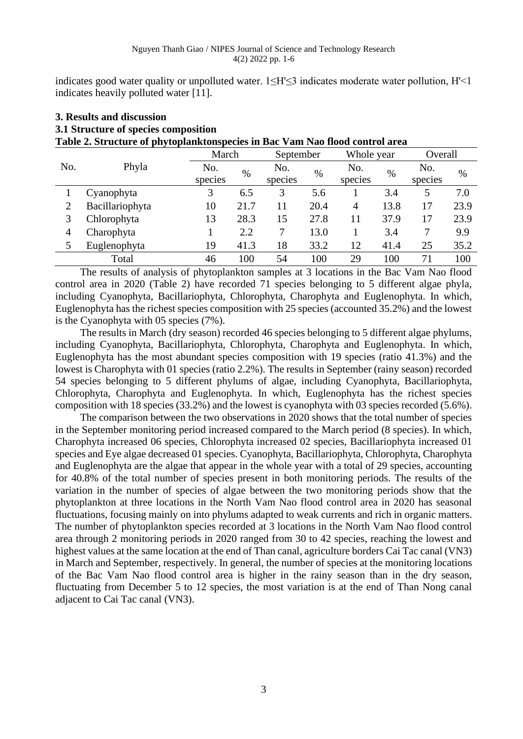indicates good water quality or unpolluted water. 1≤H'≤3 indicates moderate water pollution, H'<1 indicates heavily polluted water [11].

| 3. Results and discussion                                                    |           |            |      |
|------------------------------------------------------------------------------|-----------|------------|------|
| 3.1 Structure of species composition                                         |           |            |      |
| Table 2. Structure of phytoplanktonspecies in Bac Vam Nao flood control area |           |            |      |
| March                                                                        | September | Whole year | Dve: |

|     |                 | March   |      | September |      | Whole year |      | Overall |      |
|-----|-----------------|---------|------|-----------|------|------------|------|---------|------|
| No. | Phyla           | No.     | %    | No.       | $\%$ | No.        | $\%$ | No.     | $\%$ |
|     |                 | species |      | species   |      | species    |      | species |      |
|     | Cyanophyta      | 3       | 6.5  | 3         | 5.6  |            | 3.4  | 5       | 7.0  |
|     | Bacillariophyta | 10      | 21.7 | 11        | 20.4 | 4          | 13.8 | 17      | 23.9 |
|     | Chlorophyta     | 13      | 28.3 | 15        | 27.8 | 11         | 37.9 | 17      | 23.9 |
| 4   | Charophyta      |         | 2.2  |           | 13.0 |            | 3.4  |         | 9.9  |
|     | Euglenophyta    | 19      | 41.3 | 18        | 33.2 | 12         | 41.4 | 25      | 35.2 |
|     | Total           | 46      | 100  | 54        | 100  | 29         | 100  | 71      | 100  |

The results of analysis of phytoplankton samples at 3 locations in the Bac Vam Nao flood control area in 2020 (Table 2) have recorded 71 species belonging to 5 different algae phyla, including Cyanophyta, Bacillariophyta, Chlorophyta, Charophyta and Euglenophyta. In which, Euglenophyta has the richest species composition with 25 species (accounted 35.2%) and the lowest is the Cyanophyta with 05 species (7%).

The results in March (dry season) recorded 46 species belonging to 5 different algae phylums, including Cyanophyta, Bacillariophyta, Chlorophyta, Charophyta and Euglenophyta. In which, Euglenophyta has the most abundant species composition with 19 species (ratio 41.3%) and the lowest is Charophyta with 01 species (ratio 2.2%). The results in September (rainy season) recorded 54 species belonging to 5 different phylums of algae, including Cyanophyta, Bacillariophyta, Chlorophyta, Charophyta and Euglenophyta. In which, Euglenophyta has the richest species composition with 18 species (33.2%) and the lowest is cyanophyta with 03 species recorded (5.6%).

The comparison between the two observations in 2020 shows that the total number of species in the September monitoring period increased compared to the March period (8 species). In which, Charophyta increased 06 species, Chlorophyta increased 02 species, Bacillariophyta increased 01 species and Eye algae decreased 01 species. Cyanophyta, Bacillariophyta, Chlorophyta, Charophyta and Euglenophyta are the algae that appear in the whole year with a total of 29 species, accounting for 40.8% of the total number of species present in both monitoring periods. The results of the variation in the number of species of algae between the two monitoring periods show that the phytoplankton at three locations in the North Vam Nao flood control area in 2020 has seasonal fluctuations, focusing mainly on into phylums adapted to weak currents and rich in organic matters. The number of phytoplankton species recorded at 3 locations in the North Vam Nao flood control area through 2 monitoring periods in 2020 ranged from 30 to 42 species, reaching the lowest and highest values at the same location at the end of Than canal, agriculture borders Cai Tac canal (VN3) in March and September, respectively. In general, the number of species at the monitoring locations of the Bac Vam Nao flood control area is higher in the rainy season than in the dry season, fluctuating from December 5 to 12 species, the most variation is at the end of Than Nong canal adjacent to Cai Tac canal (VN3).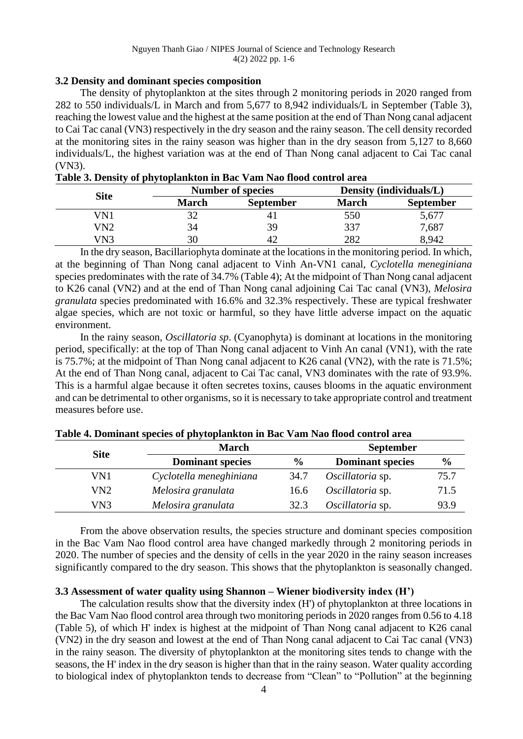# **3.2 Density and dominant species composition**

The density of phytoplankton at the sites through 2 monitoring periods in 2020 ranged from 282 to 550 individuals/L in March and from 5,677 to 8,942 individuals/L in September (Table 3), reaching the lowest value and the highest at the same position at the end of Than Nong canal adjacent to Cai Tac canal (VN3) respectively in the dry season and the rainy season. The cell density recorded at the monitoring sites in the rainy season was higher than in the dry season from 5,127 to 8,660 individuals/L, the highest variation was at the end of Than Nong canal adjacent to Cai Tac canal (VN3).

| <b>Site</b> |       | <b>Number of species</b> | Density (individuals/L) |                  |  |
|-------------|-------|--------------------------|-------------------------|------------------|--|
|             | March | <b>September</b>         | March                   | <b>September</b> |  |
| VN1         |       | 4.                       | 550                     | 5,677            |  |
| VN2         | 34    | 39                       | 337                     | 7,687            |  |
| VN3         | 30    | 42                       | 282                     | 8,942            |  |

In the dry season, Bacillariophyta dominate at the locations in the monitoring period. In which, at the beginning of Than Nong canal adjacent to Vinh An-VN1 canal, *Cyclotella meneginiana* species predominates with the rate of 34.7% (Table 4); At the midpoint of Than Nong canal adjacent to K26 canal (VN2) and at the end of Than Nong canal adjoining Cai Tac canal (VN3), *Melosira granulata* species predominated with 16.6% and 32.3% respectively. These are typical freshwater algae species, which are not toxic or harmful, so they have little adverse impact on the aquatic environment.

In the rainy season, *Oscillatoria sp*. (Cyanophyta) is dominant at locations in the monitoring period, specifically: at the top of Than Nong canal adjacent to Vinh An canal (VN1), with the rate is 75.7%; at the midpoint of Than Nong canal adjacent to K26 canal (VN2), with the rate is 71.5%; At the end of Than Nong canal, adjacent to Cai Tac canal, VN3 dominates with the rate of 93.9%. This is a harmful algae because it often secretes toxins, causes blooms in the aquatic environment and can be detrimental to other organisms, so it is necessary to take appropriate control and treatment measures before use.

| <b>Site</b>     | <b>March</b>            | <b>September</b> |                         |               |  |
|-----------------|-------------------------|------------------|-------------------------|---------------|--|
|                 | <b>Dominant species</b> | $\frac{6}{9}$    | <b>Dominant species</b> | $\frac{6}{9}$ |  |
| VN1             | Cyclotella meneghiniana | 34.7             | Oscillatoria sp.        | 75.7          |  |
| VN <sub>2</sub> | Melosira granulata      | 16.6             | Oscillatoria sp.        | 71.5          |  |
| VN <sub>3</sub> | Melosira granulata      | 32.3             | Oscillatoria sp.        | 93.9          |  |

**Table 4. Dominant species of phytoplankton in Bac Vam Nao flood control area**

From the above observation results, the species structure and dominant species composition in the Bac Vam Nao flood control area have changed markedly through 2 monitoring periods in 2020. The number of species and the density of cells in the year 2020 in the rainy season increases significantly compared to the dry season. This shows that the phytoplankton is seasonally changed.

# **3.3 Assessment of water quality using Shannon – Wiener biodiversity index (H')**

The calculation results show that the diversity index (H') of phytoplankton at three locations in the Bac Vam Nao flood control area through two monitoring periods in 2020 ranges from 0.56 to 4.18 (Table 5), of which H' index is highest at the midpoint of Than Nong canal adjacent to K26 canal (VN2) in the dry season and lowest at the end of Than Nong canal adjacent to Cai Tac canal (VN3) in the rainy season. The diversity of phytoplankton at the monitoring sites tends to change with the seasons, the H' index in the dry season is higher than that in the rainy season. Water quality according to biological index of phytoplankton tends to decrease from "Clean" to "Pollution" at the beginning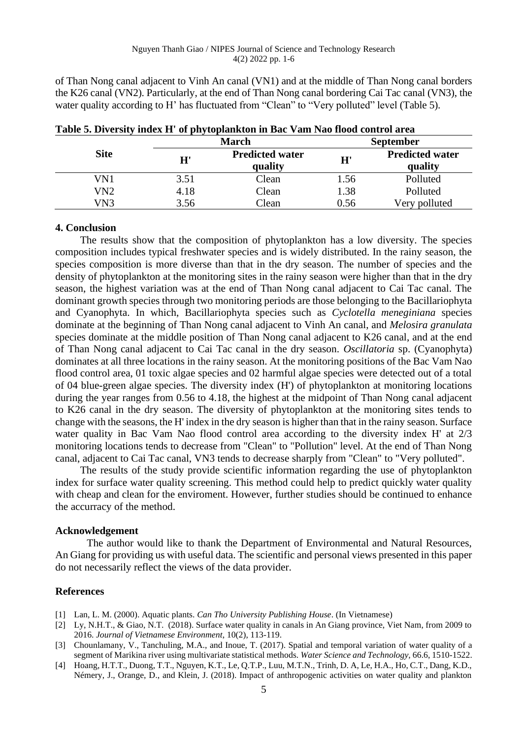of Than Nong canal adjacent to Vinh An canal (VN1) and at the middle of Than Nong canal borders the K26 canal (VN2). Particularly, at the end of Than Nong canal bordering Cai Tac canal (VN3), the water quality according to H' has fluctuated from "Clean" to "Very polluted" level (Table 5).

|             |      | Tuble of Diversity much in the phytopianition in Duc vanished hood control area<br><b>March</b> | <b>September</b> |                                   |  |
|-------------|------|-------------------------------------------------------------------------------------------------|------------------|-----------------------------------|--|
| <b>Site</b> | H'   | <b>Predicted water</b><br>quality                                                               | H'               | <b>Predicted water</b><br>quality |  |
| VN1         | 3.51 | Clean                                                                                           | 1.56             | Polluted                          |  |
| VN2         | 4.18 | Clean                                                                                           | 1.38             | Polluted                          |  |
| VN3         | 3.56 | $\cap$ lean                                                                                     | 0.56             | Very polluted                     |  |

**Table 5. Diversity index H' of phytoplankton in Bac Vam Nao flood control area**

# **4. Conclusion**

The results show that the composition of phytoplankton has a low diversity. The species composition includes typical freshwater species and is widely distributed. In the rainy season, the species composition is more diverse than that in the dry season. The number of species and the density of phytoplankton at the monitoring sites in the rainy season were higher than that in the dry season, the highest variation was at the end of Than Nong canal adjacent to Cai Tac canal. The dominant growth species through two monitoring periods are those belonging to the Bacillariophyta and Cyanophyta. In which, Bacillariophyta species such as *Cyclotella meneginiana* species dominate at the beginning of Than Nong canal adjacent to Vinh An canal, and *Melosira granulata* species dominate at the middle position of Than Nong canal adjacent to K26 canal, and at the end of Than Nong canal adjacent to Cai Tac canal in the dry season. *Oscillatoria* sp. (Cyanophyta) dominates at all three locations in the rainy season. At the monitoring positions of the Bac Vam Nao flood control area, 01 toxic algae species and 02 harmful algae species were detected out of a total of 04 blue-green algae species. The diversity index (H') of phytoplankton at monitoring locations during the year ranges from 0.56 to 4.18, the highest at the midpoint of Than Nong canal adjacent to K26 canal in the dry season. The diversity of phytoplankton at the monitoring sites tends to change with the seasons, the H' index in the dry season is higher than that in the rainy season. Surface water quality in Bac Vam Nao flood control area according to the diversity index H' at 2/3 monitoring locations tends to decrease from "Clean" to "Pollution" level. At the end of Than Nong canal, adjacent to Cai Tac canal, VN3 tends to decrease sharply from "Clean" to "Very polluted".

The results of the study provide scientific information regarding the use of phytoplankton index for surface water quality screening. This method could help to predict quickly water quality with cheap and clean for the enviroment. However, further studies should be continued to enhance the accurracy of the method.

# **Acknowledgement**

The author would like to thank the Department of Environmental and Natural Resources, An Giang for providing us with useful data. The scientific and personal views presented in this paper do not necessarily reflect the views of the data provider.

# **References**

- [1] Lan, L. M. (2000). Aquatic plants. *Can Tho University Publishing House*. (In Vietnamese)
- [2] Ly, N.H.T., & Giao, N.T. (2018). Surface water quality in canals in An Giang province, Viet Nam, from 2009 to 2016. *Journal of Vietnamese Environment*, 10(2), 113-119.
- [3] Chounlamany, V., Tanchuling, M.A., and Inoue, T. (2017). Spatial and temporal variation of water quality of a segment of Marikina river using multivariate statistical methods. *Water Science and Technology,* 66.6, 1510-1522.
- [4] Hoang, H.T.T., Duong, T.T., Nguyen, K.T., Le, Q.T.P., Luu, M.T.N., Trinh, D. A, Le, H.A., Ho, C.T., Dang, K.D., Némery, J., Orange, D., and Klein, J. (2018). Impact of anthropogenic activities on water quality and plankton